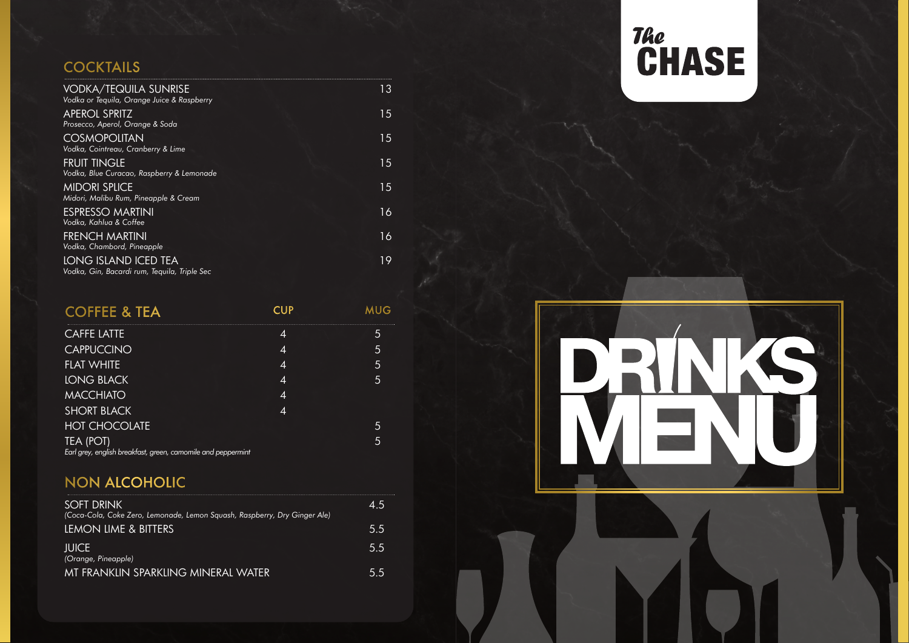### **COCKTAILS**

| <b>VODKA/TEQUILA SUNRISE</b><br>Vodka or Tequila, Orange Juice & Raspberry | 13 |
|----------------------------------------------------------------------------|----|
| <b>APEROL SPRITZ</b><br>Prosecco, Aperol, Orange & Soda                    | 15 |
| <b>COSMOPOLITAN</b><br>Vodka, Cointreau, Cranberry & Lime                  | 15 |
| <b>FRUIT TINGLE</b><br>Vodka, Blue Curacao, Raspberry & Lemonade           | 15 |
| <b>MIDORI SPLICE</b><br>Midori, Malibu Rum, Pineapple & Cream              | 15 |
| <b>ESPRESSO MARTINI</b><br>Vodka, Kahlua & Coffee                          | 16 |
| FRENCH MARTINI<br>Vodka, Chambord, Pineapple                               | 16 |
| LONG ISLAND ICED TEA<br>Vodka, Gin, Bacardi rum, Teguila, Triple Sec       | 19 |

| <b>COFFEE &amp; TEA</b>                                                   | CUP                      |                |
|---------------------------------------------------------------------------|--------------------------|----------------|
| <b>CAFFE LATTE</b>                                                        | 4                        | 5              |
| <b>CAPPUCCINO</b>                                                         | 4                        | 5              |
| <b>FLAT WHITE</b>                                                         | 4                        | 5              |
| <b>LONG BLACK</b>                                                         | $\boldsymbol{\varDelta}$ | $\overline{5}$ |
| <b>MACCHIATO</b>                                                          | 4                        |                |
| <b>SHORT BLACK</b>                                                        | Δ                        |                |
| <b>HOT CHOCOLATE</b>                                                      |                          | 5              |
| TEA (POT)<br>Earl grey, english breakfast, green, camomile and peppermint |                          | 5              |

## NON ALCOHOLIC

| <b>SOFT DRINK</b><br>(Coca-Cola, Coke Zero, Lemonade, Lemon Squash, Raspberry, Dry Ginger Ale) | 45  |
|------------------------------------------------------------------------------------------------|-----|
| LEMON LIME & BITTERS                                                                           | 5.5 |
| <b>IUICE</b><br>(Orange, Pineapple)                                                            | 55  |
| MT FRANKLIN SPARKLING MINFRAL WATER                                                            | 55. |

# The<br>CHASE